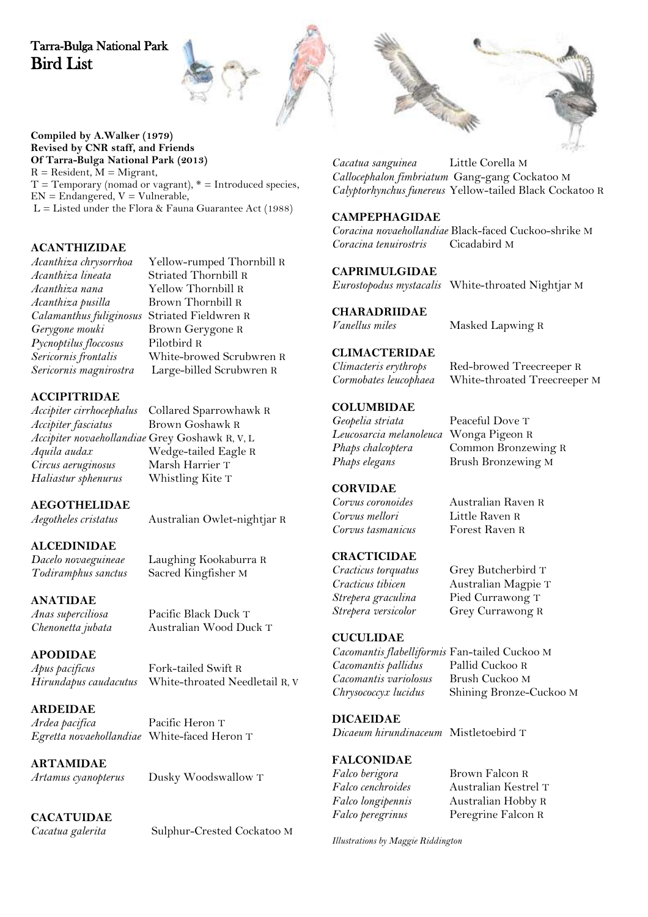## Tarra-Bulga National Park Bird List



#### **Compiled by A.Walker (1979) Revised by CNR staff, and Friends Of Tarra-Bulga National Park (2013)**  $R =$  Resident,  $M =$  Migrant,

 $T =$  Temporary (nomad or vagrant),  $* =$  Introduced species,  $EN =$  Endangered,  $V =$  Vulnerable,  $L =$  Listed under the Flora & Fauna Guarantee Act (1988)

## **ACANTHIZIDAE**

*Acanthiza lineata* Striated Thornbill R *Acanthiza pusilla* Brown Thornbill R *Calamanthus fuliginosus* Striated Fieldwren R *Pycnoptilus floccosus*<br>Sericornis frontalis

*Acanthiza chrysorrhoa* Yellow-rumped Thornbill R *Acanthiza nana* Yellow Thornbill R **Brown Gerygone R**<br>Pilothird R *Sericornis frontalis* White-browed Scrubwren R *Sericornis magnirostra* Large-billed Scrubwren R

# **ACCIPITRIDAE**

*Accipiter fasciatus* Brown Goshawk R *Accipiter novaehollandiae* Grey Goshawk R, V, L *Circus aeruginosus* Marsh Harrier T<br>
Haliastur sphenurus Vhistling Kite T  $Haliastur sphenurus$ 

*Aegotheles cristatus* Australian Owlet-nightjar R

*Chenonetta jubata* Australian Wood Duck T

## **ALCEDINIDAE**

*Dacelo novaeguineae* Laughing Kookaburra R *Todiramphus sanctus* Sacred Kingfisher M

**AEGOTHELIDAE**

#### **ANATIDAE**

*Anas superciliosa* Pacific Black Duck T

**APODIDAE** *Apus pacificus* Fork-tailed Swift R

*Hirundapus caudacutus* White-throated Needletail R, V

**ARDEIDAE** *Ardea pacifica* Pacific Heron T *Egretta novaehollandiae* White-faced Heron T

**ARTAMIDAE**

*Artamus cyanopterus* Dusky Woodswallow T

## **CACATUIDAE**

*Cacatua galerita* Sulphur-Crested Cockatoo M



*Cacatua sanguinea* Little Corella M *Callocephalon fimbriatum* Gang-gang Cockatoo M *Calyptorhynchus funereus* Yellow-tailed Black Cockatoo R

#### **CAMPEPHAGIDAE**

*Coracina novaehollandiae* Black-faced Cuckoo-shrike M  $Coracina$  tenuirostris

### **CAPRIMULGIDAE**

*Eurostopodus mystacalis* White-throated Nightjar M

**CHARADRIIDAE**

*Vanellus miles* Masked Lapwing R

# **CLIMACTERIDAE**

*Climacteris erythrops* Red-browed Treecreeper R

#### **COLUMBIDAE**

*Geopelia striata* Peaceful Dove T *Leucosarcia melanoleuca* Wonga Pigeon R *Phaps elegans* Brush Bronzewing M

*Phaps chalcoptera* Common Bronzewing R

*Cormobates leucophaea* White-throated Treecreeper M

#### **CORVIDAE**

*Corvus coronoides* Australian Raven R *Corvus mellori* Little Raven R  $Corvus$  tasmanicus

## **CRACTICIDAE**

*Cracticus torquatus* Grey Butcherbird T *Cracticus tibicen* Australian Magpie T *Strepera graculina* Pied Currawong T

### **CUCULIDAE**

*Cacomantis flabelliformis* Fan-tailed Cuckoo M *Cacomantis pallidus Cacomantis variolosus* Brush Cuckoo M *Chrysococcyx lucidus* Shining Bronze-Cuckoo M

**DICAEIDAE**

*Dicaeum hirundinaceum* Mistletoebird T

#### **FALCONIDAE**

*Falco berigora* Brown Falcon R

*Falco cenchroides* Australian Kestrel T *Falco longipennis* Australian Hobby R *Falco peregrinus* Peregrine Falcon R

**Grey Currawong R** 

*Illustrations by Maggie Riddington*

*Accipiter cirrhocephalus* Collared Sparrowhawk R *Aquila audax* Wedge-tailed Eagle R